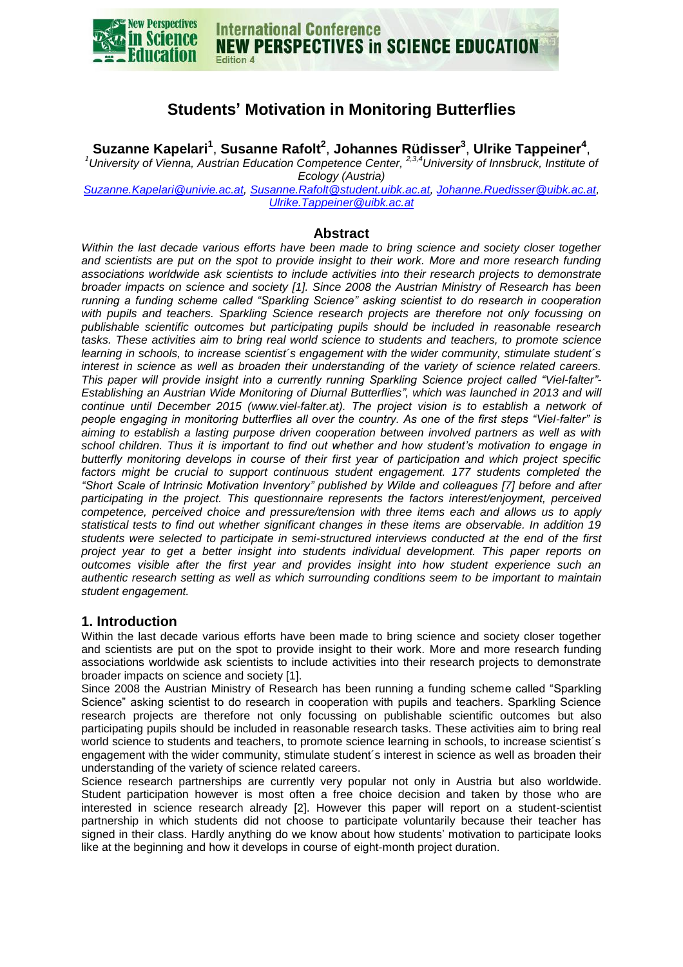

# **Students' Motivation in Monitoring Butterflies**

**Suzanne Kapelari<sup>1</sup>** , **Susanne Rafolt<sup>2</sup>** , **Johannes Rüdisser<sup>3</sup>** , **Ulrike Tappeiner<sup>4</sup>** ,

<sup>1</sup> University of Vienna, Austrian Education Competence Center, <sup>2,3,4</sup> University of Innsbruck, Institute of *Ecology (Austria)*

*[Suzanne.Kapelari@univie.ac.at,](mailto:Suzanne.Kapelari@univie.ac.at) [Susanne.Rafolt@student.uibk.ac.at,](mailto:Susanne.Rafolt@student.uibk.ac.at) [Johanne.Ruedisser@uibk.ac.at,](mailto:Johanne.Ruedisser@uibk.ac.at) [Ulrike.Tappeiner@uibk.ac.at](mailto:Ulrike.Tappeiner@uibk.ac.at)*

### **Abstract**

*Within the last decade various efforts have been made to bring science and society closer together and scientists are put on the spot to provide insight to their work. More and more research funding associations worldwide ask scientists to include activities into their research projects to demonstrate broader impacts on science and society [1]. Since 2008 the Austrian Ministry of Research has been running a funding scheme called "Sparkling Science" asking scientist to do research in cooperation with pupils and teachers. Sparkling Science research projects are therefore not only focussing on publishable scientific outcomes but participating pupils should be included in reasonable research tasks. These activities aim to bring real world science to students and teachers, to promote science learning in schools, to increase scientist´s engagement with the wider community, stimulate student´s interest in science as well as broaden their understanding of the variety of science related careers. This paper will provide insight into a currently running Sparkling Science project called "Viel-falter"- Establishing an Austrian Wide Monitoring of Diurnal Butterflies", which was launched in 2013 and will continue until December 2015 (www.viel-falter.at). The project vision is to establish a network of people engaging in monitoring butterflies all over the country. As one of the first steps "Viel-falter" is aiming to establish a lasting purpose driven cooperation between involved partners as well as with school children. Thus it is important to find out whether and how student's motivation to engage in butterfly monitoring develops in course of their first year of participation and which project specific*  factors might be crucial to support continuous student engagement. 177 students completed the *"Short Scale of Intrinsic Motivation Inventory" published by Wilde and colleagues [7] before and after participating in the project. This questionnaire represents the factors interest/enjoyment, perceived competence, perceived choice and pressure/tension with three items each and allows us to apply statistical tests to find out whether significant changes in these items are observable. In addition 19 students were selected to participate in semi-structured interviews conducted at the end of the first project year to get a better insight into students individual development. This paper reports on outcomes visible after the first year and provides insight into how student experience such an authentic research setting as well as which surrounding conditions seem to be important to maintain student engagement.*

### **1. Introduction**

Within the last decade various efforts have been made to bring science and society closer together and scientists are put on the spot to provide insight to their work. More and more research funding associations worldwide ask scientists to include activities into their research projects to demonstrate broader impacts on science and society [1].

Since 2008 the Austrian Ministry of Research has been running a funding scheme called "Sparkling Science" asking scientist to do research in cooperation with pupils and teachers. Sparkling Science research projects are therefore not only focussing on publishable scientific outcomes but also participating pupils should be included in reasonable research tasks. These activities aim to bring real world science to students and teachers, to promote science learning in schools, to increase scientist's engagement with the wider community, stimulate student´s interest in science as well as broaden their understanding of the variety of science related careers.

Science research partnerships are currently very popular not only in Austria but also worldwide. Student participation however is most often a free choice decision and taken by those who are interested in science research already [2]. However this paper will report on a student-scientist partnership in which students did not choose to participate voluntarily because their teacher has signed in their class. Hardly anything do we know about how students' motivation to participate looks like at the beginning and how it develops in course of eight-month project duration.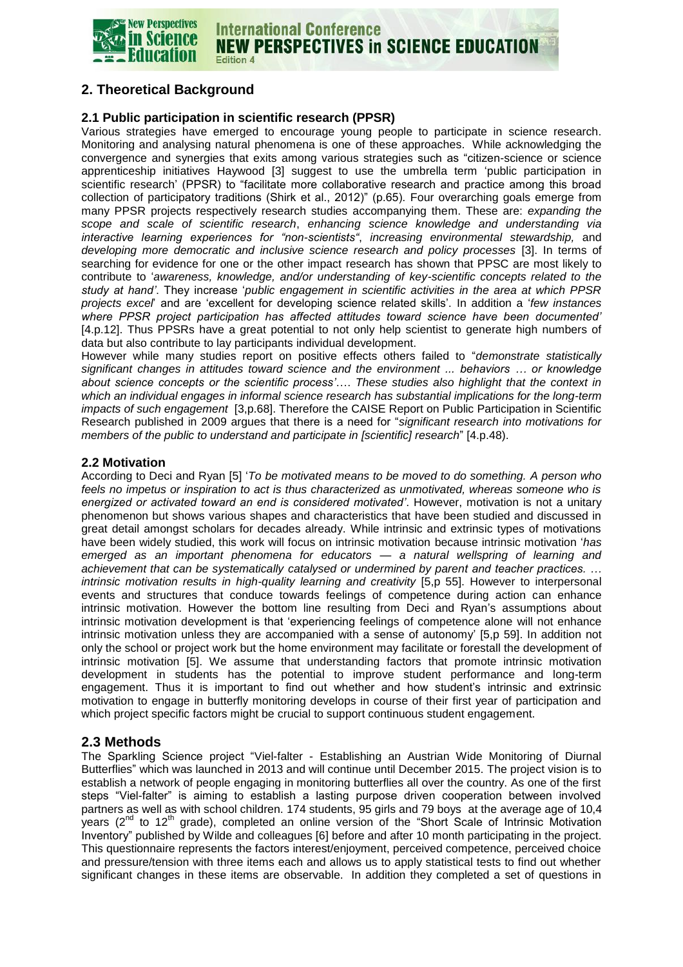

#### **International Conference NEW PERSPECTIVES in SCIENCE EDUCATION Edition 4**

# **2. Theoretical Background**

#### **2.1 Public participation in scientific research (PPSR)**

Various strategies have emerged to encourage young people to participate in science research. Monitoring and analysing natural phenomena is one of these approaches. While acknowledging the convergence and synergies that exits among various strategies such as "citizen-science or science apprenticeship initiatives Haywood [3] suggest to use the umbrella term 'public participation in scientific research' (PPSR) to "facilitate more collaborative research and practice among this broad collection of participatory traditions (Shirk et al., 2012)" (p.65). Four overarching goals emerge from many PPSR projects respectively research studies accompanying them. These are: *expanding the scope and scale of scientific research*, *enhancing science knowledge and understanding via interactive learning experiences for "non-scientists"*, *increasing environmental stewardship,* and *developing more democratic and inclusive science research and policy processes* [3]. In terms of searching for evidence for one or the other impact research has shown that PPSC are most likely to contribute to '*awareness, knowledge, and/or understanding of key-scientific concepts related to the study at hand'*. They increase '*public engagement in scientific activities in the area at which PPSR projects excel*' and are 'excellent for developing science related skills'. In addition a '*few instances where PPSR project participation has affected attitudes toward science have been documented'*  [4.p.12]. Thus PPSRs have a great potential to not only help scientist to generate high numbers of data but also contribute to lay participants individual development.

However while many studies report on positive effects others failed to "*demonstrate statistically significant changes in attitudes toward science and the environment ... behaviors … or knowledge about science concepts or the scientific process'*…. *These studies also highlight that the context in which an individual engages in informal science research has substantial implications for the long-term impacts of such engagement* [3,p.68]. Therefore the CAISE Report on Public Participation in Scientific Research published in 2009 argues that there is a need for "*significant research into motivations for members of the public to understand and participate in [scientific] research*" [4.p.48).

#### **2.2 Motivation**

According to Deci and Ryan [5] '*To be motivated means to be moved to do something. A person who feels no impetus or inspiration to act is thus characterized as unmotivated, whereas someone who is energized or activated toward an end is considered motivated'*. However, motivation is not a unitary phenomenon but shows various shapes and characteristics that have been studied and discussed in great detail amongst scholars for decades already. While intrinsic and extrinsic types of motivations have been widely studied, this work will focus on intrinsic motivation because intrinsic motivation '*has emerged as an important phenomena for educators — a natural wellspring of learning and achievement that can be systematically catalysed or undermined by parent and teacher practices. … intrinsic motivation results in high-quality learning and creativity* [5,p 55]. However to interpersonal events and structures that conduce towards feelings of competence during action can enhance intrinsic motivation. However the bottom line resulting from Deci and Ryan's assumptions about intrinsic motivation development is that 'experiencing feelings of competence alone will not enhance intrinsic motivation unless they are accompanied with a sense of autonomy' [5,p 59]. In addition not only the school or project work but the home environment may facilitate or forestall the development of intrinsic motivation [5]. We assume that understanding factors that promote intrinsic motivation development in students has the potential to improve student performance and long-term engagement. Thus it is important to find out whether and how student's intrinsic and extrinsic motivation to engage in butterfly monitoring develops in course of their first year of participation and which project specific factors might be crucial to support continuous student engagement.

### **2.3 Methods**

The Sparkling Science project "Viel-falter - Establishing an Austrian Wide Monitoring of Diurnal Butterflies" which was launched in 2013 and will continue until December 2015. The project vision is to establish a network of people engaging in monitoring butterflies all over the country. As one of the first steps "Viel-falter" is aiming to establish a lasting purpose driven cooperation between involved partners as well as with school children. 174 students, 95 girls and 79 boys at the average age of 10,4 years  $(2^{nd}$  to 12<sup>th</sup> grade), completed an online version of the "Short Scale of Intrinsic Motivation Inventory" published by Wilde and colleagues [6] before and after 10 month participating in the project. This questionnaire represents the factors interest/enjoyment, perceived competence, perceived choice and pressure/tension with three items each and allows us to apply statistical tests to find out whether significant changes in these items are observable. In addition they completed a set of questions in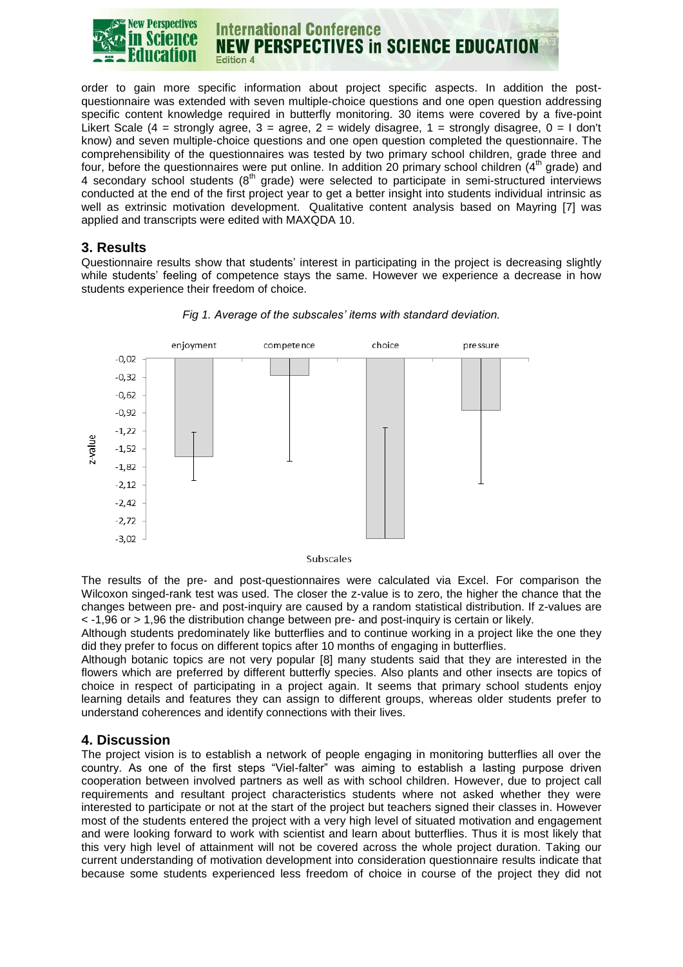

order to gain more specific information about project specific aspects. In addition the postquestionnaire was extended with seven multiple-choice questions and one open question addressing specific content knowledge required in butterfly monitoring. 30 items were covered by a five-point Likert Scale (4 = strongly agree,  $3$  = agree,  $2$  = widely disagree,  $1$  = strongly disagree,  $0$  = 1 don't know) and seven multiple-choice questions and one open question completed the questionnaire. The comprehensibility of the questionnaires was tested by two primary school children, grade three and four, before the questionnaires were put online. In addition 20 primary school children (4<sup>th</sup> grade) and 4 secondary school students  $(8<sup>th</sup>$  grade) were selected to participate in semi-structured interviews conducted at the end of the first project year to get a better insight into students individual intrinsic as well as extrinsic motivation development. Qualitative content analysis based on Mayring [7] was applied and transcripts were edited with MAXQDA 10.

### **3. Results**

Questionnaire results show that students' interest in participating in the project is decreasing slightly while students' feeling of competence stays the same. However we experience a decrease in how students experience their freedom of choice.



#### *Fig 1. Average of the subscales' items with standard deviation.*

The results of the pre- and post-questionnaires were calculated via Excel. For comparison the Wilcoxon singed-rank test was used. The closer the z-value is to zero, the higher the chance that the changes between pre- and post-inquiry are caused by a random statistical distribution. If z-values are < -1,96 or > 1,96 the distribution change between pre- and post-inquiry is certain or likely.

Although students predominately like butterflies and to continue working in a project like the one they did they prefer to focus on different topics after 10 months of engaging in butterflies.

Although botanic topics are not very popular [8] many students said that they are interested in the flowers which are preferred by different butterfly species. Also plants and other insects are topics of choice in respect of participating in a project again. It seems that primary school students enjoy learning details and features they can assign to different groups, whereas older students prefer to understand coherences and identify connections with their lives.

## **4. Discussion**

The project vision is to establish a network of people engaging in monitoring butterflies all over the country. As one of the first steps "Viel-falter" was aiming to establish a lasting purpose driven cooperation between involved partners as well as with school children. However, due to project call requirements and resultant project characteristics students where not asked whether they were interested to participate or not at the start of the project but teachers signed their classes in. However most of the students entered the project with a very high level of situated motivation and engagement and were looking forward to work with scientist and learn about butterflies. Thus it is most likely that this very high level of attainment will not be covered across the whole project duration. Taking our current understanding of motivation development into consideration questionnaire results indicate that because some students experienced less freedom of choice in course of the project they did not